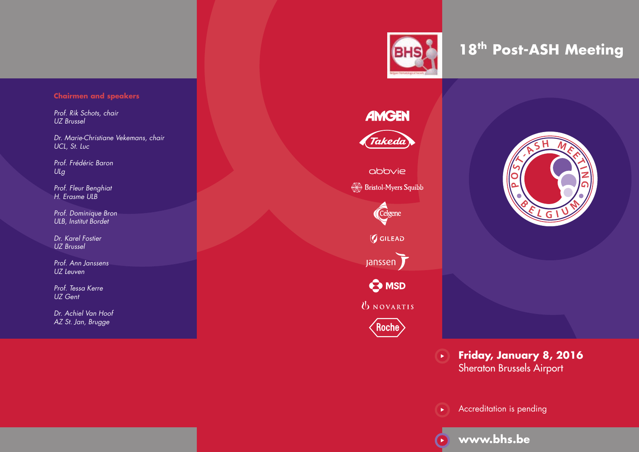# **Chairmen and speakers**

*Prof. Rik Schots, chair UZ Brussel*

*Dr. Marie-Christiane Vekemans, chair UCL, St. Luc*

*Prof. Frédéric Baron ULg*

*Prof. Fleur Benghiat H. Erasme ULB*

*Prof. Dominique Bron ULB, Institut Bordet*

*Dr. Karel Fostier UZ Brussel*

*Prof. Ann Janssens UZ Leuven*

*Prof. Tessa Kerre UZ Gent*

*Dr. Achiel Van Hoof AZ St. Jan, Brugge*



**18th Post-ASH Meeting**

**Friday, January 8, 2016** Sheraton Brussels Airport  $(\blacktriangleright)$ 



Accreditation is pending